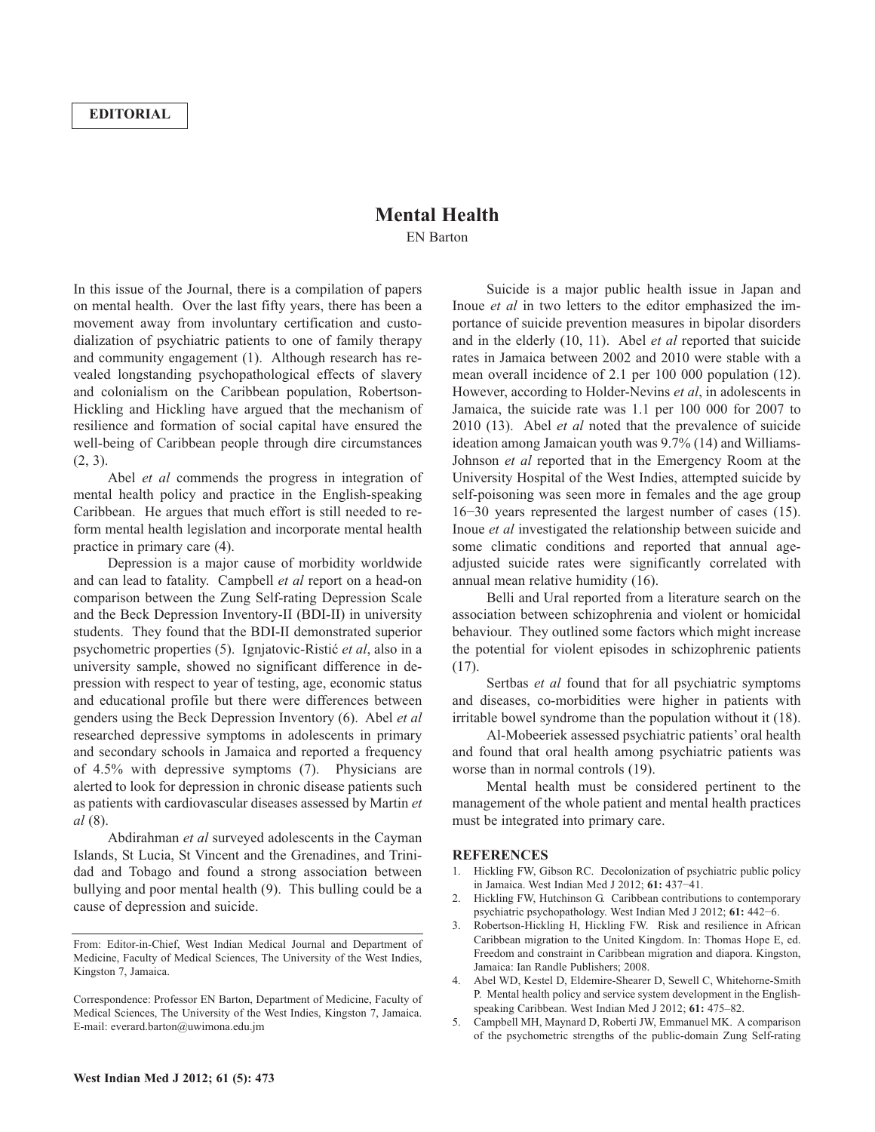## **Mental Health** EN Barton

In this issue of the Journal, there is a compilation of papers on mental health. Over the last fifty years, there has been a movement away from involuntary certification and custodialization of psychiatric patients to one of family therapy and community engagement (1). Although research has revealed longstanding psychopathological effects of slavery and colonialism on the Caribbean population, Robertson-Hickling and Hickling have argued that the mechanism of resilience and formation of social capital have ensured the well-being of Caribbean people through dire circumstances (2, 3).

Abel *et al* commends the progress in integration of mental health policy and practice in the English-speaking Caribbean. He argues that much effort is still needed to reform mental health legislation and incorporate mental health practice in primary care (4).

Depression is a major cause of morbidity worldwide and can lead to fatality. Campbell *et al* report on a head-on comparison between the Zung Self-rating Depression Scale and the Beck Depression Inventory-II (BDI-II) in university students. They found that the BDI-II demonstrated superior psychometric properties (5). Ignjatovic-Ristić *et al*, also in a university sample, showed no significant difference in depression with respect to year of testing, age, economic status and educational profile but there were differences between genders using the Beck Depression Inventory (6). Abel *et al* researched depressive symptoms in adolescents in primary and secondary schools in Jamaica and reported a frequency of 4.5% with depressive symptoms (7). Physicians are alerted to look for depression in chronic disease patients such as patients with cardiovascular diseases assessed by Martin *et al* (8).

Abdirahman *et al* surveyed adolescents in the Cayman Islands, St Lucia, St Vincent and the Grenadines, and Trinidad and Tobago and found a strong association between bullying and poor mental health (9). This bulling could be a cause of depression and suicide.

Suicide is a major public health issue in Japan and Inoue *et al* in two letters to the editor emphasized the importance of suicide prevention measures in bipolar disorders and in the elderly (10, 11). Abel *et al* reported that suicide rates in Jamaica between 2002 and 2010 were stable with a mean overall incidence of 2.1 per 100 000 population (12). However, according to Holder-Nevins *et al*, in adolescents in Jamaica, the suicide rate was 1.1 per 100 000 for 2007 to 2010 (13). Abel *et al* noted that the prevalence of suicide ideation among Jamaican youth was 9.7% (14) and Williams-Johnson *et al* reported that in the Emergency Room at the University Hospital of the West Indies, attempted suicide by self-poisoning was seen more in females and the age group 16−30 years represented the largest number of cases (15). Inoue *et al* investigated the relationship between suicide and some climatic conditions and reported that annual ageadjusted suicide rates were significantly correlated with annual mean relative humidity (16).

Belli and Ural reported from a literature search on the association between schizophrenia and violent or homicidal behaviour. They outlined some factors which might increase the potential for violent episodes in schizophrenic patients (17).

Sertbas *et al* found that for all psychiatric symptoms and diseases, co-morbidities were higher in patients with irritable bowel syndrome than the population without it (18).

Al-Mobeeriek assessed psychiatric patients' oral health and found that oral health among psychiatric patients was worse than in normal controls (19).

Mental health must be considered pertinent to the management of the whole patient and mental health practices must be integrated into primary care.

## **REFERENCES**

- 1. Hickling FW, Gibson RC. Decolonization of psychiatric public policy in Jamaica. West Indian Med J 2012; **61:** 437−41.
- 2. Hickling FW, Hutchinson G. Caribbean contributions to contemporary psychiatric psychopathology. West Indian Med J 2012; **61:** 442−6.
- 3. Robertson-Hickling H, Hickling FW. Risk and resilience in African Caribbean migration to the United Kingdom. In: Thomas Hope E, ed. Freedom and constraint in Caribbean migration and diapora. Kingston, Jamaica: Ian Randle Publishers; 2008.
- 4. Abel WD, Kestel D, Eldemire-Shearer D, Sewell C, Whitehorne-Smith P. Mental health policy and service system development in the Englishspeaking Caribbean. West Indian Med J 2012; **61:** 475–82.
- 5. Campbell MH, Maynard D, Roberti JW, Emmanuel MK. A comparison of the psychometric strengths of the public-domain Zung Self-rating

From: Editor-in-Chief, West Indian Medical Journal and Department of Medicine, Faculty of Medical Sciences, The University of the West Indies, Kingston 7, Jamaica.

Correspondence: Professor EN Barton, Department of Medicine, Faculty of Medical Sciences, The University of the West Indies, Kingston 7, Jamaica. E-mail: everard.barton@uwimona.edu.jm